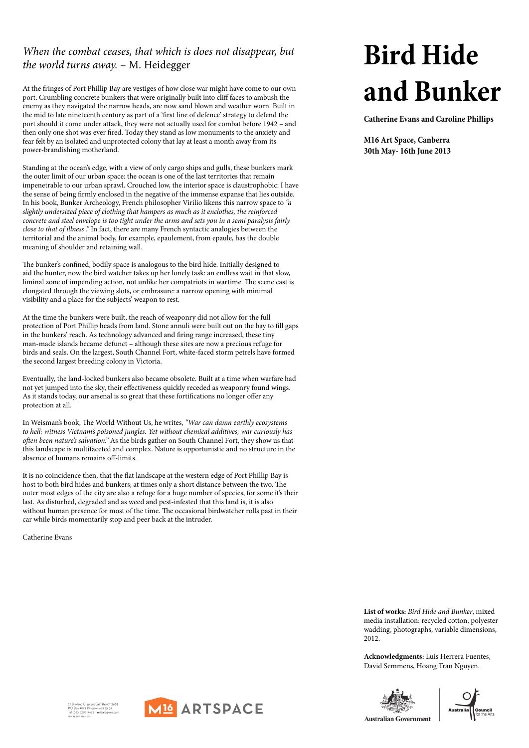## **Bird Hide and Bunker**

**Catherine Evans and Caroline Phillips**

**M16 Art Space, Canberra 30th May- 16th June 2013**

## *When the combat ceases, that which is does not disappear, but the world turns away.* – M. Heidegger

At the fringes of Port Phillip Bay are vestiges of how close war might have come to our own port. Crumbling concrete bunkers that were originally built into cliff faces to ambush the enemy as they navigated the narrow heads, are now sand blown and weather worn. Built in the mid to late nineteenth century as part of a 'first line of defence' strategy to defend the port should it come under attack, they were not actually used for combat before 1942 – and then only one shot was ever fired. Today they stand as low monuments to the anxiety and fear felt by an isolated and unprotected colony that lay at least a month away from its power-brandishing motherland.

Standing at the ocean's edge, with a view of only cargo ships and gulls, these bunkers mark the outer limit of our urban space: the ocean is one of the last territories that remain impenetrable to our urban sprawl. Crouched low, the interior space is claustrophobic: I have the sense of being firmly enclosed in the negative of the immense expanse that lies outside. In his book, Bunker Archeology, French philosopher Virilio likens this narrow space to *"a slightly undersized piece of clothing that hampers as much as it enclothes, the reinforced concrete and steel envelope is too tight under the arms and sets you in a semi paralysis fairly close to that of illness ."* In fact, there are many French syntactic analogies between the territorial and the animal body, for example, epaulement, from epaule, has the double meaning of shoulder and retaining wall.

The bunker's confined, bodily space is analogous to the bird hide. Initially designed to aid the hunter, now the bird watcher takes up her lonely task: an endless wait in that slow, liminal zone of impending action, not unlike her compatriots in wartime. The scene cast is elongated through the viewing slots, or embrasure: a narrow opening with minimal visibility and a place for the subjects' weapon to rest.

At the time the bunkers were built, the reach of weaponry did not allow for the full protection of Port Phillip heads from land. Stone annuli were built out on the bay to fill gaps in the bunkers' reach. As technology advanced and firing range increased, these tiny man-made islands became defunct – although these sites are now a precious refuge for birds and seals. On the largest, South Channel Fort, white-faced storm petrels have formed the second largest breeding colony in Victoria.

Eventually, the land-locked bunkers also became obsolete. Built at a time when warfare had not yet jumped into the sky, their effectiveness quickly receded as weaponry found wings. As it stands today, our arsenal is so great that these fortifications no longer offer any protection at all.

In Weisman's book, The World Without Us, he writes, *"War can damn earthly ecosystems to hell: witness Vietnam's poisoned jungles. Yet without chemical additives, war curiously has often been nature's salvation."* As the birds gather on South Channel Fort, they show us that this landscape is multifaceted and complex. Nature is opportunistic and no structure in the absence of humans remains off-limits.

It is no coincidence then, that the flat landscape at the western edge of Port Phillip Bay is host to both bird hides and bunkers; at times only a short distance between the two. The outer most edges of the city are also a refuge for a huge number of species, for some it's their last. As disturbed, degraded and as weed and pest-infested that this land is, it is also without human presence for most of the time. The occasional birdwatcher rolls past in their car while birds momentarily stop and peer back at the intruder.

Catherine Evans

**List of works:** *Bird Hide and Bunker*, mixed media installation: recycled cotton, polyester wadding, photographs, variable dimensions, 2012.

**Acknowledgments:** Luis Herrera Fuentes, David Semmens, Hoang Tran Nguyen.

21 Blaxland Crescent Griffith ACT 2603<br>PO Box 4878 Kingston ACT 2604<br>Tel (02) 6295 9438 m16artspace.com